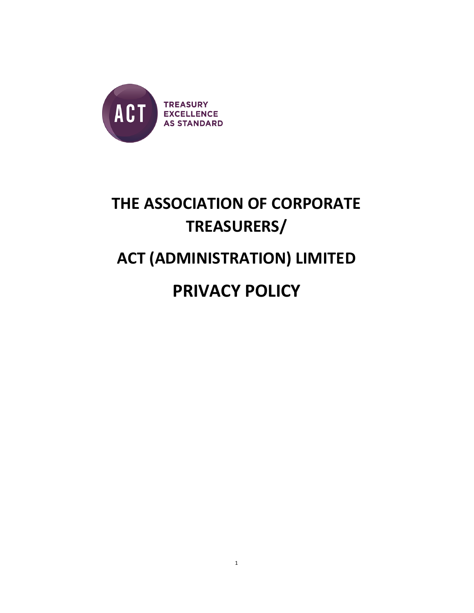

# THE ASSOCIATION OF CORPORATE TREASURERS/

# ACT (ADMINISTRATION) LIMITED

# PRIVACY POLICY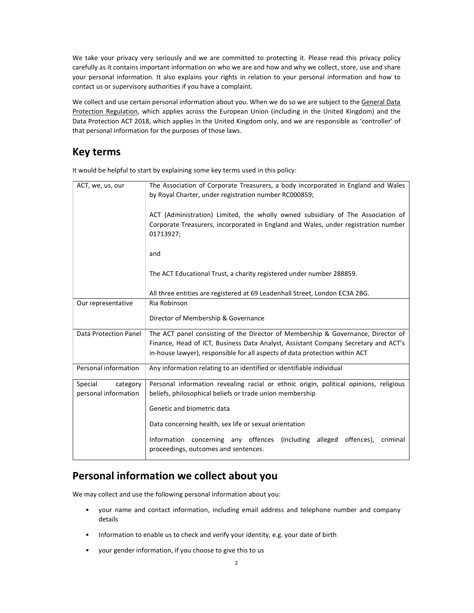We take your privacy very seriously and we are committed to protecting it. Please read this privacy policy carefully as it contains important information on who we are and how and why we collect, store, use and share your personal information. It also explains your rights in relation to your personal information and how to contact us or supervisory authorities if you have a complaint.

We collect and use certain personal information about you. When we do so we are subject to the General Data Protection Regulation, which applies across the European Union (including in the United Kingdom) and the Data Protection ACT 2018, which applies in the United Kingdom only, and we are responsible as 'controller' of that personal information for the purposes of those laws.

## Key terms

| ACT, we, us, our                            | The Association of Corporate Treasurers, a body incorporated in England and Wales<br>by Royal Charter, under registration number RC000859;                                         |  |
|---------------------------------------------|------------------------------------------------------------------------------------------------------------------------------------------------------------------------------------|--|
|                                             | ACT (Administration) Limited, the wholly owned subsidiary of The Association of<br>Corporate Treasurers, incorporated in England and Wales, under registration number<br>01713927; |  |
|                                             | and                                                                                                                                                                                |  |
|                                             | The ACT Educational Trust, a charity registered under number 288859.                                                                                                               |  |
|                                             | All three entities are registered at 69 Leadenhall Street, London EC3A 2BG.                                                                                                        |  |
| Our representative                          | Ria Robinson                                                                                                                                                                       |  |
|                                             | Director of Membership & Governance                                                                                                                                                |  |
| Data Protection Panel                       | The ACT panel consisting of the Director of Membership & Governance, Director of                                                                                                   |  |
|                                             | Finance, Head of ICT, Business Data Analyst, Assistant Company Secretary and ACT's<br>in-house lawyer), responsible for all aspects of data protection within ACT                  |  |
| Personal information                        | Any information relating to an identified or identifiable individual                                                                                                               |  |
| Special<br>category<br>personal information | Personal information revealing racial or ethnic origin, political opinions, religious<br>beliefs, philosophical beliefs or trade union membership                                  |  |
|                                             | Genetic and biometric data                                                                                                                                                         |  |
|                                             | Data concerning health, sex life or sexual orientation                                                                                                                             |  |
|                                             | Information concerning any offences<br>(including alleged)<br>offences),<br>criminal<br>proceedings, outcomes and sentences.                                                       |  |

It would be helpful to start by explaining some key terms used in this policy:

## Personal information we collect about you

We may collect and use the following personal information about you:

- your name and contact information, including email address and telephone number and company details
- Information to enable us to check and verify your identity, e.g. your date of birth
- your gender information, if you choose to give this to us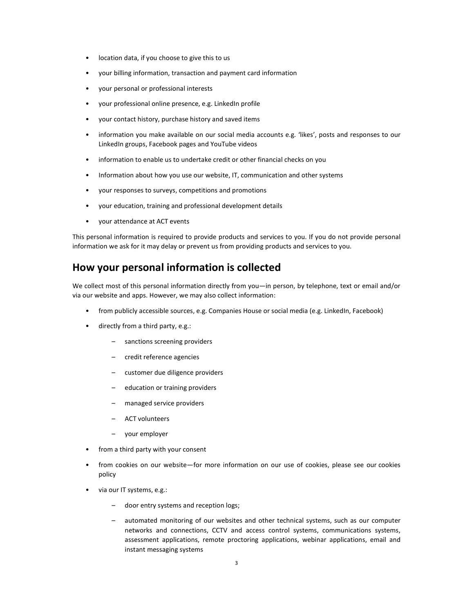- location data, if you choose to give this to us
- your billing information, transaction and payment card information
- your personal or professional interests
- your professional online presence, e.g. LinkedIn profile
- your contact history, purchase history and saved items
- information you make available on our social media accounts e.g. 'likes', posts and responses to our LinkedIn groups, Facebook pages and YouTube videos
- information to enable us to undertake credit or other financial checks on you
- Information about how you use our website, IT, communication and other systems
- your responses to surveys, competitions and promotions
- your education, training and professional development details
- your attendance at ACT events

This personal information is required to provide products and services to you. If you do not provide personal information we ask for it may delay or prevent us from providing products and services to you.

#### How your personal information is collected

We collect most of this personal information directly from you—in person, by telephone, text or email and/or via our website and apps. However, we may also collect information:

- from publicly accessible sources, e.g. Companies House or social media (e.g. LinkedIn, Facebook)
- directly from a third party, e.g.:
	- sanctions screening providers
	- credit reference agencies
	- customer due diligence providers
	- education or training providers
	- managed service providers
	- ACT volunteers
	- your employer
- from a third party with your consent
- from cookies on our website—for more information on our use of cookies, please see our cookies policy
- via our IT systems, e.g.:
	- door entry systems and reception logs;
	- automated monitoring of our websites and other technical systems, such as our computer networks and connections, CCTV and access control systems, communications systems, assessment applications, remote proctoring applications, webinar applications, email and instant messaging systems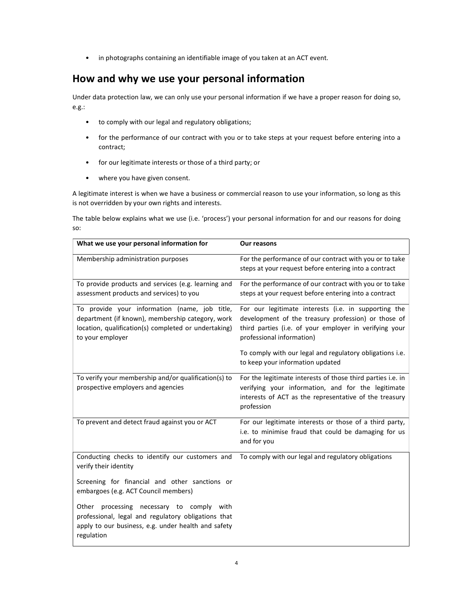• in photographs containing an identifiable image of you taken at an ACT event.

# How and why we use your personal information

Under data protection law, we can only use your personal information if we have a proper reason for doing so, e.g.:

- to comply with our legal and regulatory obligations;
- for the performance of our contract with you or to take steps at your request before entering into a contract;
- for our legitimate interests or those of a third party; or
- where you have given consent.

A legitimate interest is when we have a business or commercial reason to use your information, so long as this is not overridden by your own rights and interests.

The table below explains what we use (i.e. 'process') your personal information for and our reasons for doing so:

| What we use your personal information for                                                                                                                                     | <b>Our reasons</b>                                                                                                                                                                                 |
|-------------------------------------------------------------------------------------------------------------------------------------------------------------------------------|----------------------------------------------------------------------------------------------------------------------------------------------------------------------------------------------------|
| Membership administration purposes                                                                                                                                            | For the performance of our contract with you or to take<br>steps at your request before entering into a contract                                                                                   |
| To provide products and services (e.g. learning and<br>assessment products and services) to you                                                                               | For the performance of our contract with you or to take<br>steps at your request before entering into a contract                                                                                   |
| To provide your information (name, job title,<br>department (if known), membership category, work<br>location, qualification(s) completed or undertaking)<br>to your employer | For our legitimate interests (i.e. in supporting the<br>development of the treasury profession) or those of<br>third parties (i.e. of your employer in verifying your<br>professional information) |
|                                                                                                                                                                               | To comply with our legal and regulatory obligations i.e.<br>to keep your information updated                                                                                                       |
| To verify your membership and/or qualification(s) to<br>prospective employers and agencies                                                                                    | For the legitimate interests of those third parties i.e. in<br>verifying your information, and for the legitimate<br>interests of ACT as the representative of the treasury<br>profession          |
| To prevent and detect fraud against you or ACT                                                                                                                                | For our legitimate interests or those of a third party,<br>i.e. to minimise fraud that could be damaging for us<br>and for you                                                                     |
| Conducting checks to identify our customers and<br>verify their identity                                                                                                      | To comply with our legal and regulatory obligations                                                                                                                                                |
| Screening for financial and other sanctions or<br>embargoes (e.g. ACT Council members)                                                                                        |                                                                                                                                                                                                    |
| processing necessary to comply<br>with<br>Other<br>professional, legal and regulatory obligations that<br>apply to our business, e.g. under health and safety<br>regulation   |                                                                                                                                                                                                    |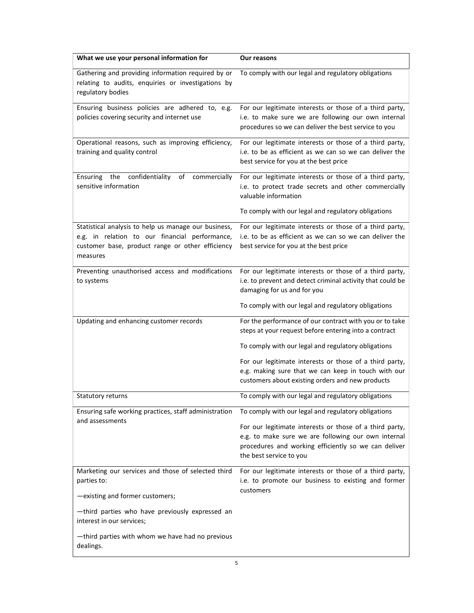| What we use your personal information for                                                                                                                              | Our reasons                                                                                                                                                                                       |
|------------------------------------------------------------------------------------------------------------------------------------------------------------------------|---------------------------------------------------------------------------------------------------------------------------------------------------------------------------------------------------|
| Gathering and providing information required by or<br>relating to audits, enquiries or investigations by<br>regulatory bodies                                          | To comply with our legal and regulatory obligations                                                                                                                                               |
| Ensuring business policies are adhered to, e.g.<br>policies covering security and internet use                                                                         | For our legitimate interests or those of a third party,<br>i.e. to make sure we are following our own internal<br>procedures so we can deliver the best service to you                            |
| Operational reasons, such as improving efficiency,<br>training and quality control                                                                                     | For our legitimate interests or those of a third party,<br>i.e. to be as efficient as we can so we can deliver the<br>best service for you at the best price                                      |
| confidentiality<br>Ensuring<br>the<br>of<br>commercially<br>sensitive information                                                                                      | For our legitimate interests or those of a third party,<br>i.e. to protect trade secrets and other commercially<br>valuable information                                                           |
|                                                                                                                                                                        | To comply with our legal and regulatory obligations                                                                                                                                               |
| Statistical analysis to help us manage our business,<br>e.g. in relation to our financial performance,<br>customer base, product range or other efficiency<br>measures | For our legitimate interests or those of a third party,<br>i.e. to be as efficient as we can so we can deliver the<br>best service for you at the best price                                      |
| Preventing unauthorised access and modifications<br>to systems                                                                                                         | For our legitimate interests or those of a third party,<br>i.e. to prevent and detect criminal activity that could be<br>damaging for us and for you                                              |
|                                                                                                                                                                        | To comply with our legal and regulatory obligations                                                                                                                                               |
| Updating and enhancing customer records                                                                                                                                | For the performance of our contract with you or to take<br>steps at your request before entering into a contract                                                                                  |
|                                                                                                                                                                        | To comply with our legal and regulatory obligations                                                                                                                                               |
|                                                                                                                                                                        | For our legitimate interests or those of a third party,<br>e.g. making sure that we can keep in touch with our<br>customers about existing orders and new products                                |
| <b>Statutory returns</b>                                                                                                                                               | To comply with our legal and regulatory obligations                                                                                                                                               |
| Ensuring safe working practices, staff administration                                                                                                                  | To comply with our legal and regulatory obligations                                                                                                                                               |
| and assessments                                                                                                                                                        | For our legitimate interests or those of a third party,<br>e.g. to make sure we are following our own internal<br>procedures and working efficiently so we can deliver<br>the best service to you |
| Marketing our services and those of selected third<br>parties to:                                                                                                      | For our legitimate interests or those of a third party,<br>i.e. to promote our business to existing and former<br>customers                                                                       |
| -existing and former customers;                                                                                                                                        |                                                                                                                                                                                                   |
| -third parties who have previously expressed an<br>interest in our services;                                                                                           |                                                                                                                                                                                                   |
| -third parties with whom we have had no previous<br>dealings.                                                                                                          |                                                                                                                                                                                                   |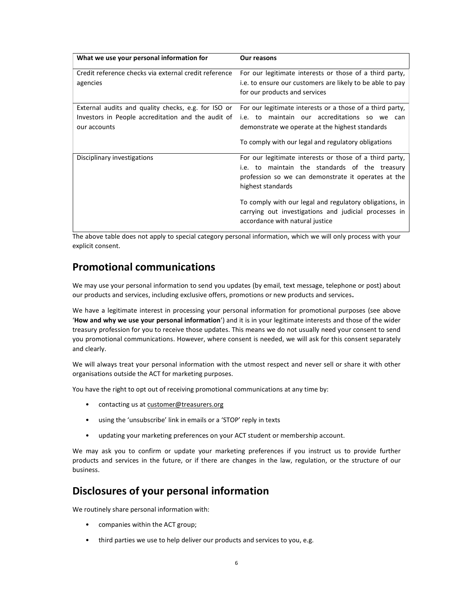| What we use your personal information for                                                                                 | <b>Our reasons</b>                                                                                                                                                                    |
|---------------------------------------------------------------------------------------------------------------------------|---------------------------------------------------------------------------------------------------------------------------------------------------------------------------------------|
| Credit reference checks via external credit reference<br>agencies                                                         | For our legitimate interests or those of a third party,<br>i.e. to ensure our customers are likely to be able to pay                                                                  |
|                                                                                                                           | for our products and services                                                                                                                                                         |
| External audits and quality checks, e.g. for ISO or<br>Investors in People accreditation and the audit of<br>our accounts | For our legitimate interests or a those of a third party,<br>i.e. to maintain our accreditations so we<br>can<br>demonstrate we operate at the highest standards                      |
|                                                                                                                           | To comply with our legal and regulatory obligations                                                                                                                                   |
| Disciplinary investigations                                                                                               | For our legitimate interests or those of a third party,<br>i.e. to maintain the standards of the treasury<br>profession so we can demonstrate it operates at the<br>highest standards |
|                                                                                                                           | To comply with our legal and regulatory obligations, in<br>carrying out investigations and judicial processes in<br>accordance with natural justice                                   |

The above table does not apply to special category personal information, which we will only process with your explicit consent.

### Promotional communications

We may use your personal information to send you updates (by email, text message, telephone or post) about our products and services, including exclusive offers, promotions or new products and services.

We have a legitimate interest in processing your personal information for promotional purposes (see above 'How and why we use your personal information') and it is in your legitimate interests and those of the wider treasury profession for you to receive those updates. This means we do not usually need your consent to send you promotional communications. However, where consent is needed, we will ask for this consent separately and clearly.

We will always treat your personal information with the utmost respect and never sell or share it with other organisations outside the ACT for marketing purposes.

You have the right to opt out of receiving promotional communications at any time by:

- contacting us at customer@treasurers.org
- using the 'unsubscribe' link in emails or a 'STOP' reply in texts
- updating your marketing preferences on your ACT student or membership account.

We may ask you to confirm or update your marketing preferences if you instruct us to provide further products and services in the future, or if there are changes in the law, regulation, or the structure of our business.

### Disclosures of your personal information

We routinely share personal information with:

- companies within the ACT group;
- third parties we use to help deliver our products and services to you, e.g.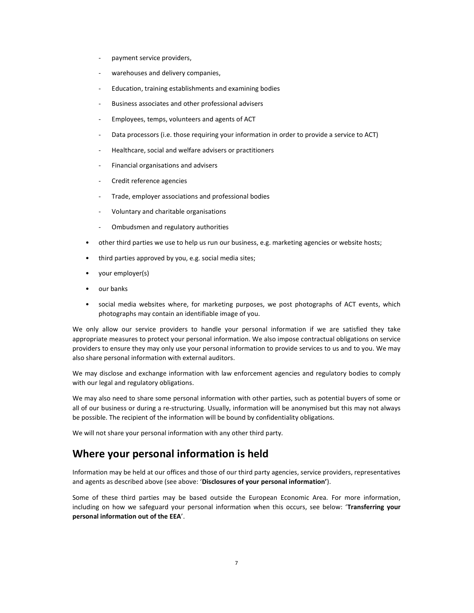- payment service providers,
- warehouses and delivery companies,
- Education, training establishments and examining bodies
- Business associates and other professional advisers
- Employees, temps, volunteers and agents of ACT
- Data processors (i.e. those requiring your information in order to provide a service to ACT)
- Healthcare, social and welfare advisers or practitioners
- Financial organisations and advisers
- Credit reference agencies
- Trade, employer associations and professional bodies
- Voluntary and charitable organisations
- Ombudsmen and regulatory authorities
- other third parties we use to help us run our business, e.g. marketing agencies or website hosts;
- third parties approved by you, e.g. social media sites;
- your employer(s)
- our banks
- social media websites where, for marketing purposes, we post photographs of ACT events, which photographs may contain an identifiable image of you.

We only allow our service providers to handle your personal information if we are satisfied they take appropriate measures to protect your personal information. We also impose contractual obligations on service providers to ensure they may only use your personal information to provide services to us and to you. We may also share personal information with external auditors.

We may disclose and exchange information with law enforcement agencies and regulatory bodies to comply with our legal and regulatory obligations.

We may also need to share some personal information with other parties, such as potential buyers of some or all of our business or during a re-structuring. Usually, information will be anonymised but this may not always be possible. The recipient of the information will be bound by confidentiality obligations.

We will not share your personal information with any other third party.

#### Where your personal information is held

Information may be held at our offices and those of our third party agencies, service providers, representatives and agents as described above (see above: 'Disclosures of your personal information').

Some of these third parties may be based outside the European Economic Area. For more information, including on how we safeguard your personal information when this occurs, see below: 'Transferring your personal information out of the EEA'.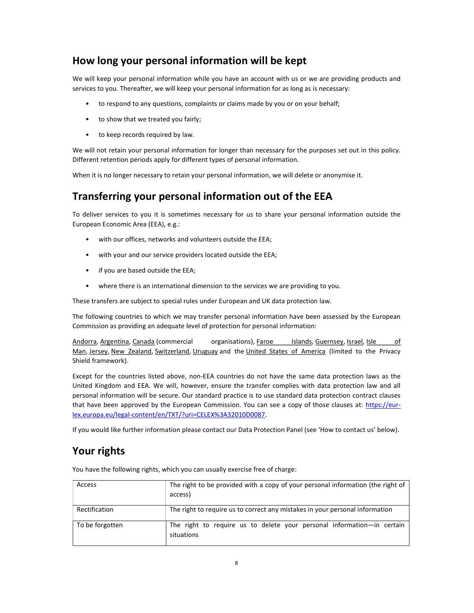# How long your personal information will be kept

We will keep your personal information while you have an account with us or we are providing products and services to you. Thereafter, we will keep your personal information for as long as is necessary:

- to respond to any questions, complaints or claims made by you or on your behalf;
- to show that we treated you fairly;
- to keep records required by law.

We will not retain your personal information for longer than necessary for the purposes set out in this policy. Different retention periods apply for different types of personal information.

When it is no longer necessary to retain your personal information, we will delete or anonymise it.

## Transferring your personal information out of the EEA

To deliver services to you it is sometimes necessary for us to share your personal information outside the European Economic Area (EEA), e.g.:

- with our offices, networks and volunteers outside the EEA;
- with your and our service providers located outside the EEA;
- if you are based outside the EEA;
- where there is an international dimension to the services we are providing to you.

These transfers are subject to special rules under European and UK data protection law.

The following countries to which we may transfer personal information have been assessed by the European Commission as providing an adequate level of protection for personal information:

Andorra, Argentina, Canada (commercial organisations), Faroe Islands, Guernsey, Israel, Isle of Man, Jersey, New Zealand, Switzerland, Uruguay and the United States of America (limited to the Privacy Shield framework).

Except for the countries listed above, non-EEA countries do not have the same data protection laws as the United Kingdom and EEA. We will, however, ensure the transfer complies with data protection law and all personal information will be secure. Our standard practice is to use standard data protection contract clauses that have been approved by the European Commission. You can see a copy of those clauses at: https://eurlex.europa.eu/legal-content/en/TXT/?uri=CELEX%3A32010D0087.

If you would like further information please contact our Data Protection Panel (see 'How to contact us' below).

## Your rights

You have the following rights, which you can usually exercise free of charge:

| Access          | The right to be provided with a copy of your personal information (the right of<br>access) |
|-----------------|--------------------------------------------------------------------------------------------|
| Rectification   | The right to require us to correct any mistakes in your personal information               |
| To be forgotten | The right to require us to delete your personal information—in certain<br>situations       |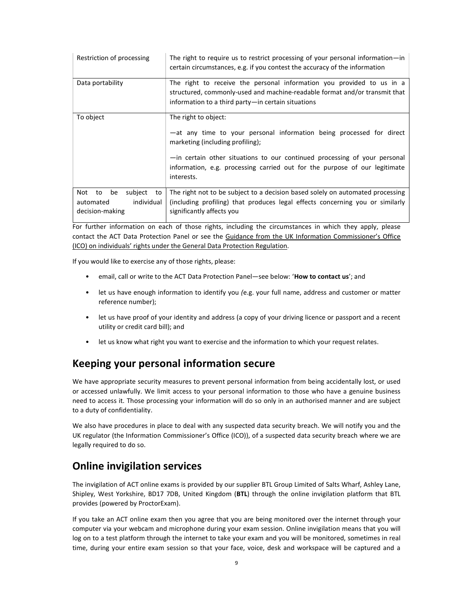| Restriction of processing                                                      | The right to require us to restrict processing of your personal information—in<br>certain circumstances, e.g. if you contest the accuracy of the information                                                                                                                                              |
|--------------------------------------------------------------------------------|-----------------------------------------------------------------------------------------------------------------------------------------------------------------------------------------------------------------------------------------------------------------------------------------------------------|
| Data portability                                                               | The right to receive the personal information you provided to us in a<br>structured, commonly-used and machine-readable format and/or transmit that<br>information to a third party-in certain situations                                                                                                 |
| To object                                                                      | The right to object:<br>-at any time to your personal information being processed for direct<br>marketing (including profiling);<br>-in certain other situations to our continued processing of your personal<br>information, e.g. processing carried out for the purpose of our legitimate<br>interests. |
| Not<br>to<br>be<br>subject<br>to<br>individual<br>automated<br>decision-making | The right not to be subject to a decision based solely on automated processing<br>(including profiling) that produces legal effects concerning you or similarly<br>significantly affects you                                                                                                              |

For further information on each of those rights, including the circumstances in which they apply, please contact the ACT Data Protection Panel or see the Guidance from the UK Information Commissioner's Office (ICO) on individuals' rights under the General Data Protection Regulation.

If you would like to exercise any of those rights, please:

- email, call or write to the ACT Data Protection Panel—see below: 'How to contact us'; and
- let us have enough information to identify you (e.g. your full name, address and customer or matter reference number);
- let us have proof of your identity and address (a copy of your driving licence or passport and a recent utility or credit card bill); and
- let us know what right you want to exercise and the information to which your request relates.

#### Keeping your personal information secure

We have appropriate security measures to prevent personal information from being accidentally lost, or used or accessed unlawfully. We limit access to your personal information to those who have a genuine business need to access it. Those processing your information will do so only in an authorised manner and are subject to a duty of confidentiality.

We also have procedures in place to deal with any suspected data security breach. We will notify you and the UK regulator (the Information Commissioner's Office (ICO)), of a suspected data security breach where we are legally required to do so.

#### Online invigilation services

The invigilation of ACT online exams is provided by our supplier BTL Group Limited of Salts Wharf, Ashley Lane, Shipley, West Yorkshire, BD17 7DB, United Kingdom (BTL) through the online invigilation platform that BTL provides (powered by ProctorExam).

If you take an ACT online exam then you agree that you are being monitored over the internet through your computer via your webcam and microphone during your exam session. Online invigilation means that you will log on to a test platform through the internet to take your exam and you will be monitored, sometimes in real time, during your entire exam session so that your face, voice, desk and workspace will be captured and a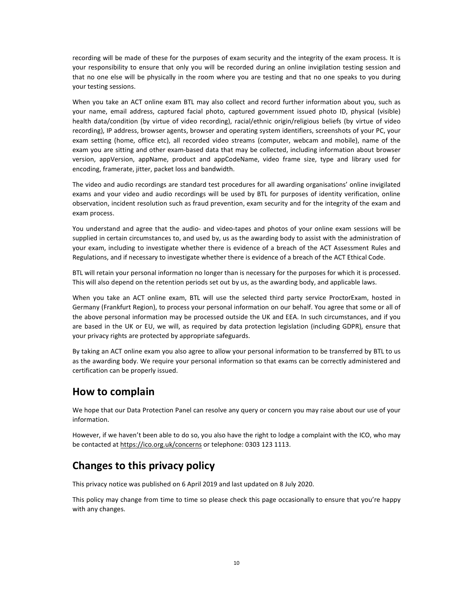recording will be made of these for the purposes of exam security and the integrity of the exam process. It is your responsibility to ensure that only you will be recorded during an online invigilation testing session and that no one else will be physically in the room where you are testing and that no one speaks to you during your testing sessions.

When you take an ACT online exam BTL may also collect and record further information about you, such as your name, email address, captured facial photo, captured government issued photo ID, physical (visible) health data/condition (by virtue of video recording), racial/ethnic origin/religious beliefs (by virtue of video recording), IP address, browser agents, browser and operating system identifiers, screenshots of your PC, your exam setting (home, office etc), all recorded video streams (computer, webcam and mobile), name of the exam you are sitting and other exam-based data that may be collected, including information about browser version, appVersion, appName, product and appCodeName, video frame size, type and library used for encoding, framerate, jitter, packet loss and bandwidth.

The video and audio recordings are standard test procedures for all awarding organisations' online invigilated exams and your video and audio recordings will be used by BTL for purposes of identity verification, online observation, incident resolution such as fraud prevention, exam security and for the integrity of the exam and exam process.

You understand and agree that the audio- and video-tapes and photos of your online exam sessions will be supplied in certain circumstances to, and used by, us as the awarding body to assist with the administration of your exam, including to investigate whether there is evidence of a breach of the ACT Assessment Rules and Regulations, and if necessary to investigate whether there is evidence of a breach of the ACT Ethical Code.

BTL will retain your personal information no longer than is necessary for the purposes for which it is processed. This will also depend on the retention periods set out by us, as the awarding body, and applicable laws.

When you take an ACT online exam, BTL will use the selected third party service ProctorExam, hosted in Germany (Frankfurt Region), to process your personal information on our behalf. You agree that some or all of the above personal information may be processed outside the UK and EEA. In such circumstances, and if you are based in the UK or EU, we will, as required by data protection legislation (including GDPR), ensure that your privacy rights are protected by appropriate safeguards.

By taking an ACT online exam you also agree to allow your personal information to be transferred by BTL to us as the awarding body. We require your personal information so that exams can be correctly administered and certification can be properly issued.

#### How to complain

We hope that our Data Protection Panel can resolve any query or concern you may raise about our use of your information.

However, if we haven't been able to do so, you also have the right to lodge a complaint with the ICO, who may be contacted at https://ico.org.uk/concerns or telephone: 0303 123 1113.

### Changes to this privacy policy

This privacy notice was published on 6 April 2019 and last updated on 8 July 2020.

This policy may change from time to time so please check this page occasionally to ensure that you're happy with any changes.